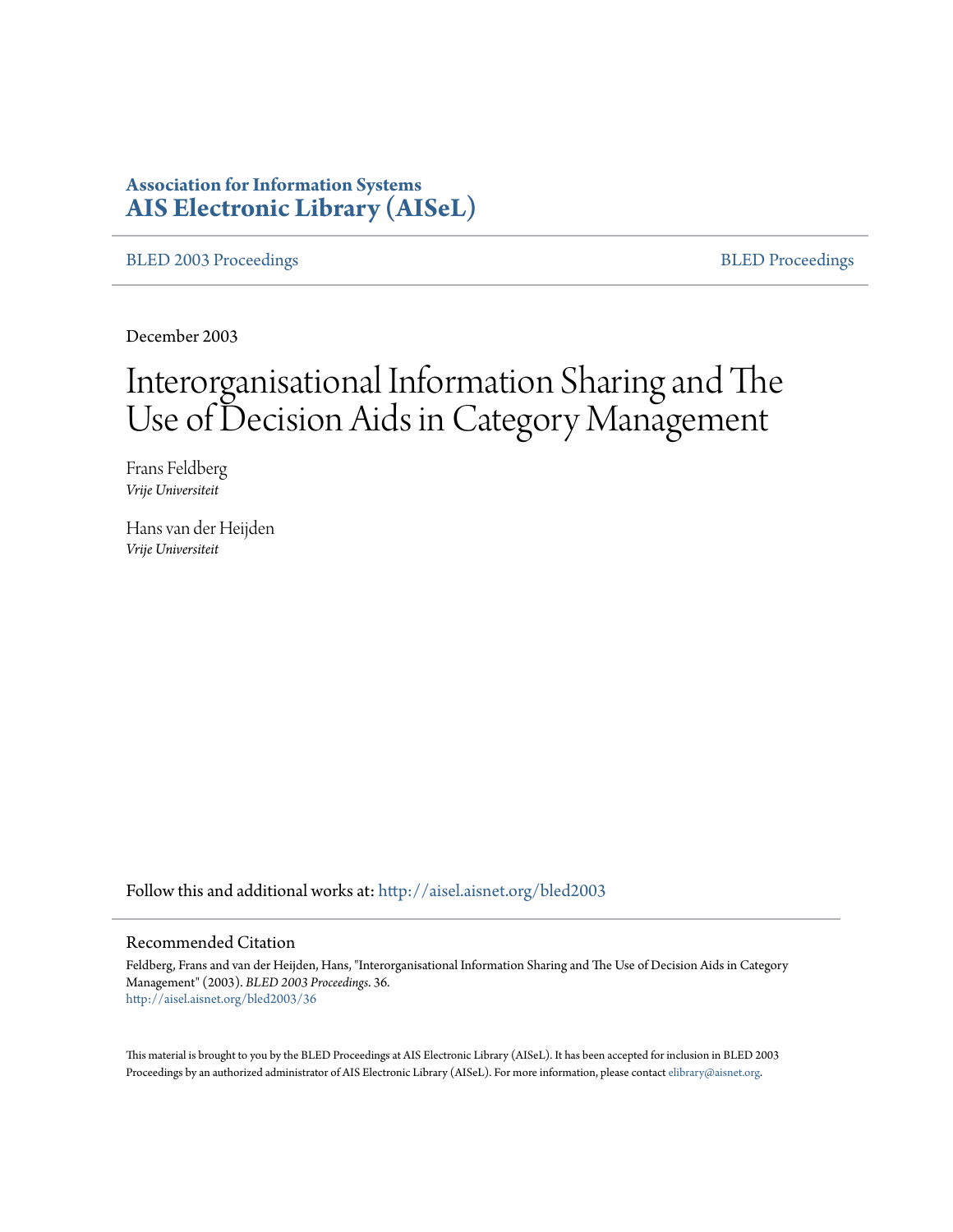# **Association for Information Systems [AIS Electronic Library \(AISeL\)](http://aisel.aisnet.org?utm_source=aisel.aisnet.org%2Fbled2003%2F36&utm_medium=PDF&utm_campaign=PDFCoverPages)**

[BLED 2003 Proceedings](http://aisel.aisnet.org/bled2003?utm_source=aisel.aisnet.org%2Fbled2003%2F36&utm_medium=PDF&utm_campaign=PDFCoverPages) **[BLED Proceedings](http://aisel.aisnet.org/bled?utm_source=aisel.aisnet.org%2Fbled2003%2F36&utm_medium=PDF&utm_campaign=PDFCoverPages)** 

December 2003

# Interorganisational Information Sharing and The Use of Decision Aids in Category Management

Frans Feldberg *Vrije Universiteit*

Hans van der Heijden *Vrije Universiteit*

Follow this and additional works at: [http://aisel.aisnet.org/bled2003](http://aisel.aisnet.org/bled2003?utm_source=aisel.aisnet.org%2Fbled2003%2F36&utm_medium=PDF&utm_campaign=PDFCoverPages)

#### Recommended Citation

Feldberg, Frans and van der Heijden, Hans, "Interorganisational Information Sharing and The Use of Decision Aids in Category Management" (2003). *BLED 2003 Proceedings*. 36. [http://aisel.aisnet.org/bled2003/36](http://aisel.aisnet.org/bled2003/36?utm_source=aisel.aisnet.org%2Fbled2003%2F36&utm_medium=PDF&utm_campaign=PDFCoverPages)

This material is brought to you by the BLED Proceedings at AIS Electronic Library (AISeL). It has been accepted for inclusion in BLED 2003 Proceedings by an authorized administrator of AIS Electronic Library (AISeL). For more information, please contact [elibrary@aisnet.org](mailto:elibrary@aisnet.org%3E).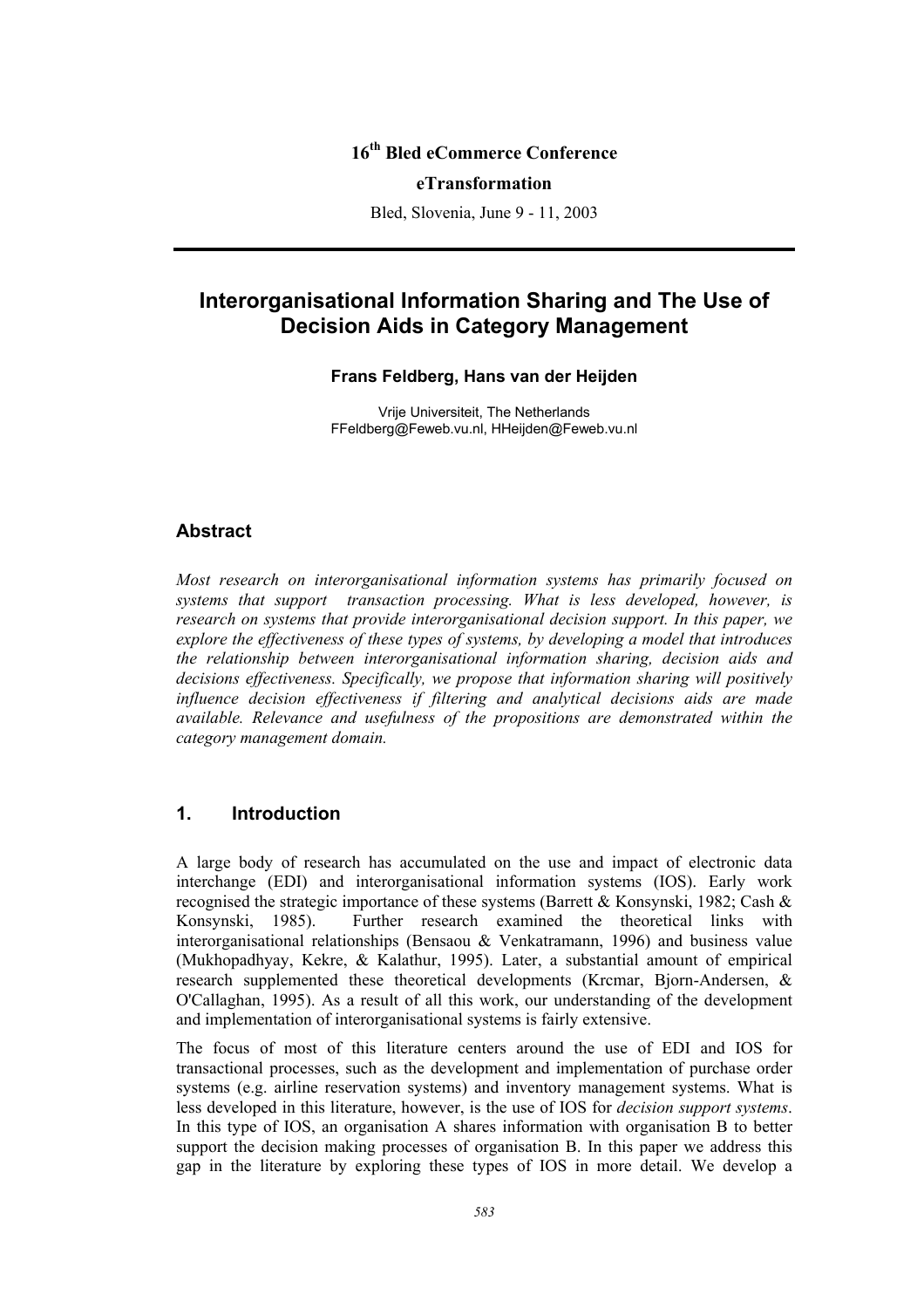# **16th Bled eCommerce Conference**

#### **eTransformation**

Bled, Slovenia, June 9 - 11, 2003

# **Interorganisational Information Sharing and The Use of Decision Aids in Category Management**

#### **Frans Feldberg, Hans van der Heijden**

Vrije Universiteit, The Netherlands FFeldberg@Feweb.vu.nl, HHeijden@Feweb.vu.nl

#### **Abstract**

*Most research on interorganisational information systems has primarily focused on systems that support transaction processing. What is less developed, however, is research on systems that provide interorganisational decision support. In this paper, we explore the effectiveness of these types of systems, by developing a model that introduces the relationship between interorganisational information sharing, decision aids and decisions effectiveness. Specifically, we propose that information sharing will positively influence decision effectiveness if filtering and analytical decisions aids are made available. Relevance and usefulness of the propositions are demonstrated within the category management domain.* 

# **1. Introduction**

A large body of research has accumulated on the use and impact of electronic data interchange (EDI) and interorganisational information systems (IOS). Early work recognised the strategic importance of these systems (Barrett & Konsynski, 1982; Cash & Konsynski, 1985). Further research examined the theoretical links with interorganisational relationships (Bensaou & Venkatramann, 1996) and business value (Mukhopadhyay, Kekre, & Kalathur, 1995). Later, a substantial amount of empirical research supplemented these theoretical developments (Krcmar, Bjorn-Andersen, & O'Callaghan, 1995). As a result of all this work, our understanding of the development and implementation of interorganisational systems is fairly extensive.

The focus of most of this literature centers around the use of EDI and IOS for transactional processes, such as the development and implementation of purchase order systems (e.g. airline reservation systems) and inventory management systems. What is less developed in this literature, however, is the use of IOS for *decision support systems*. In this type of IOS, an organisation A shares information with organisation B to better support the decision making processes of organisation B. In this paper we address this gap in the literature by exploring these types of IOS in more detail. We develop a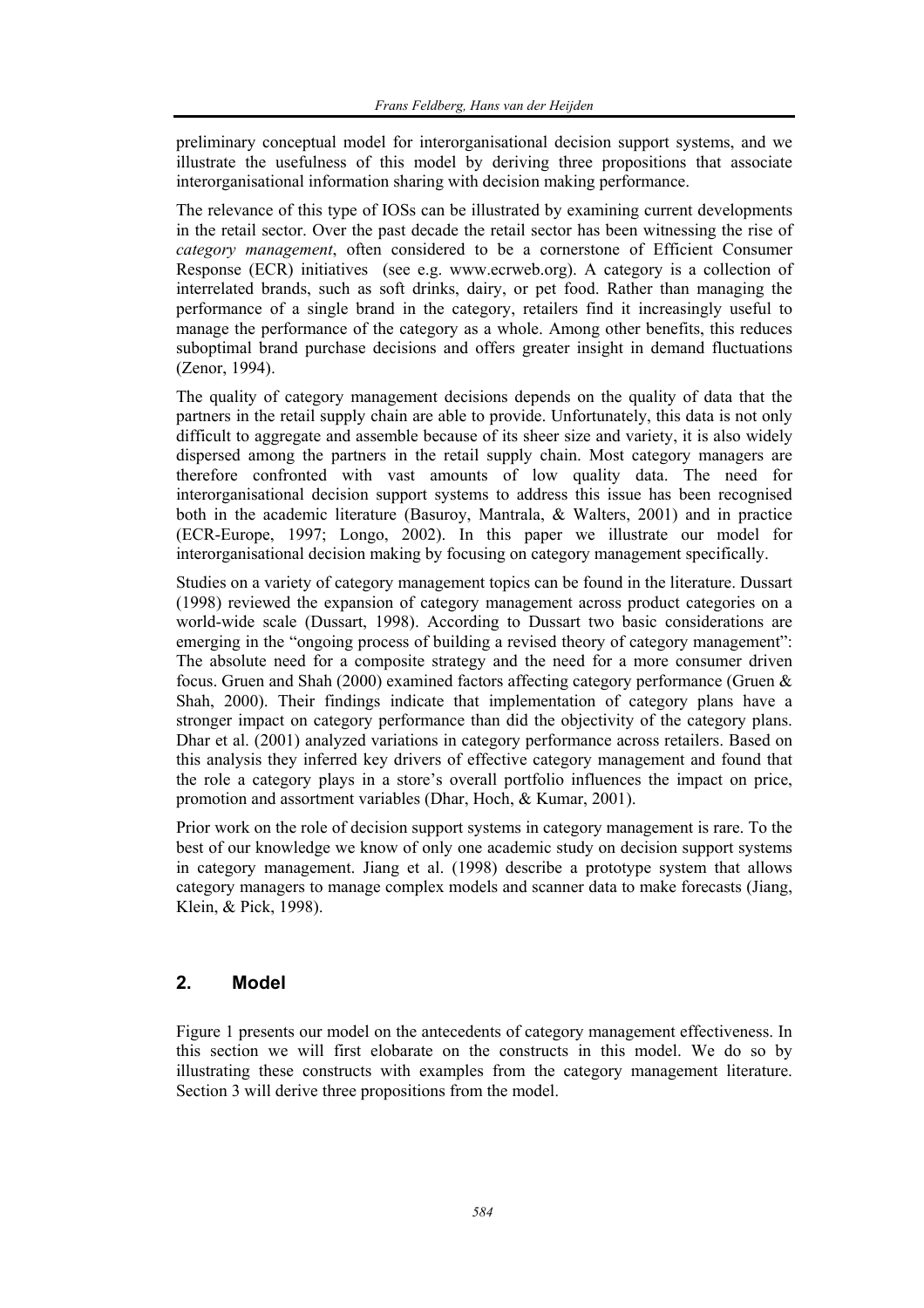preliminary conceptual model for interorganisational decision support systems, and we illustrate the usefulness of this model by deriving three propositions that associate interorganisational information sharing with decision making performance.

The relevance of this type of IOSs can be illustrated by examining current developments in the retail sector. Over the past decade the retail sector has been witnessing the rise of *category management*, often considered to be a cornerstone of Efficient Consumer Response (ECR) initiatives (see e.g. www.ecrweb.org). A category is a collection of interrelated brands, such as soft drinks, dairy, or pet food. Rather than managing the performance of a single brand in the category, retailers find it increasingly useful to manage the performance of the category as a whole. Among other benefits, this reduces suboptimal brand purchase decisions and offers greater insight in demand fluctuations (Zenor, 1994).

The quality of category management decisions depends on the quality of data that the partners in the retail supply chain are able to provide. Unfortunately, this data is not only difficult to aggregate and assemble because of its sheer size and variety, it is also widely dispersed among the partners in the retail supply chain. Most category managers are therefore confronted with vast amounts of low quality data. The need for interorganisational decision support systems to address this issue has been recognised both in the academic literature (Basuroy, Mantrala, & Walters, 2001) and in practice (ECR-Europe, 1997; Longo, 2002). In this paper we illustrate our model for interorganisational decision making by focusing on category management specifically.

Studies on a variety of category management topics can be found in the literature. Dussart (1998) reviewed the expansion of category management across product categories on a world-wide scale (Dussart, 1998). According to Dussart two basic considerations are emerging in the "ongoing process of building a revised theory of category management": The absolute need for a composite strategy and the need for a more consumer driven focus. Gruen and Shah (2000) examined factors affecting category performance (Gruen & Shah, 2000). Their findings indicate that implementation of category plans have a stronger impact on category performance than did the objectivity of the category plans. Dhar et al. (2001) analyzed variations in category performance across retailers. Based on this analysis they inferred key drivers of effective category management and found that the role a category plays in a store's overall portfolio influences the impact on price, promotion and assortment variables (Dhar, Hoch, & Kumar, 2001).

Prior work on the role of decision support systems in category management is rare. To the best of our knowledge we know of only one academic study on decision support systems in category management. Jiang et al. (1998) describe a prototype system that allows category managers to manage complex models and scanner data to make forecasts (Jiang, Klein, & Pick, 1998).

# **2. Model**

Figure 1 presents our model on the antecedents of category management effectiveness. In this section we will first elobarate on the constructs in this model. We do so by illustrating these constructs with examples from the category management literature. Section 3 will derive three propositions from the model.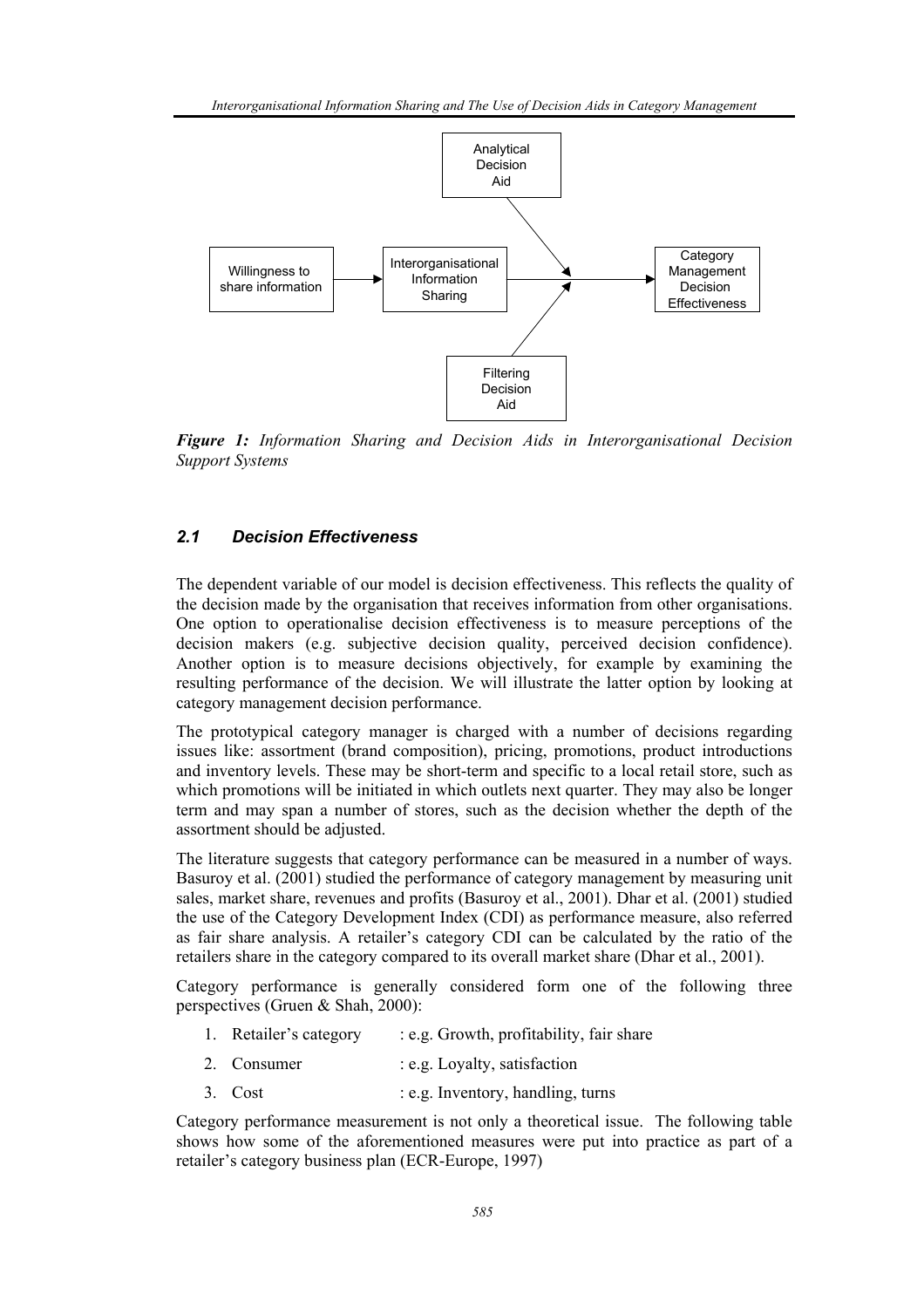

*Figure 1: Information Sharing and Decision Aids in Interorganisational Decision Support Systems* 

# *2.1 Decision Effectiveness*

The dependent variable of our model is decision effectiveness. This reflects the quality of the decision made by the organisation that receives information from other organisations. One option to operationalise decision effectiveness is to measure perceptions of the decision makers (e.g. subjective decision quality, perceived decision confidence). Another option is to measure decisions objectively, for example by examining the resulting performance of the decision. We will illustrate the latter option by looking at category management decision performance.

The prototypical category manager is charged with a number of decisions regarding issues like: assortment (brand composition), pricing, promotions, product introductions and inventory levels. These may be short-term and specific to a local retail store, such as which promotions will be initiated in which outlets next quarter. They may also be longer term and may span a number of stores, such as the decision whether the depth of the assortment should be adjusted.

The literature suggests that category performance can be measured in a number of ways. Basuroy et al. (2001) studied the performance of category management by measuring unit sales, market share, revenues and profits (Basuroy et al., 2001). Dhar et al. (2001) studied the use of the Category Development Index (CDI) as performance measure, also referred as fair share analysis. A retailer's category CDI can be calculated by the ratio of the retailers share in the category compared to its overall market share (Dhar et al., 2001).

Category performance is generally considered form one of the following three perspectives (Gruen & Shah, 2000):

- 1. Retailer's category : e.g. Growth, profitability, fair share
- 2. Consumer : e.g. Loyalty, satisfaction
- 3. Cost : e.g. Inventory, handling, turns

Category performance measurement is not only a theoretical issue. The following table shows how some of the aforementioned measures were put into practice as part of a retailer's category business plan (ECR-Europe, 1997)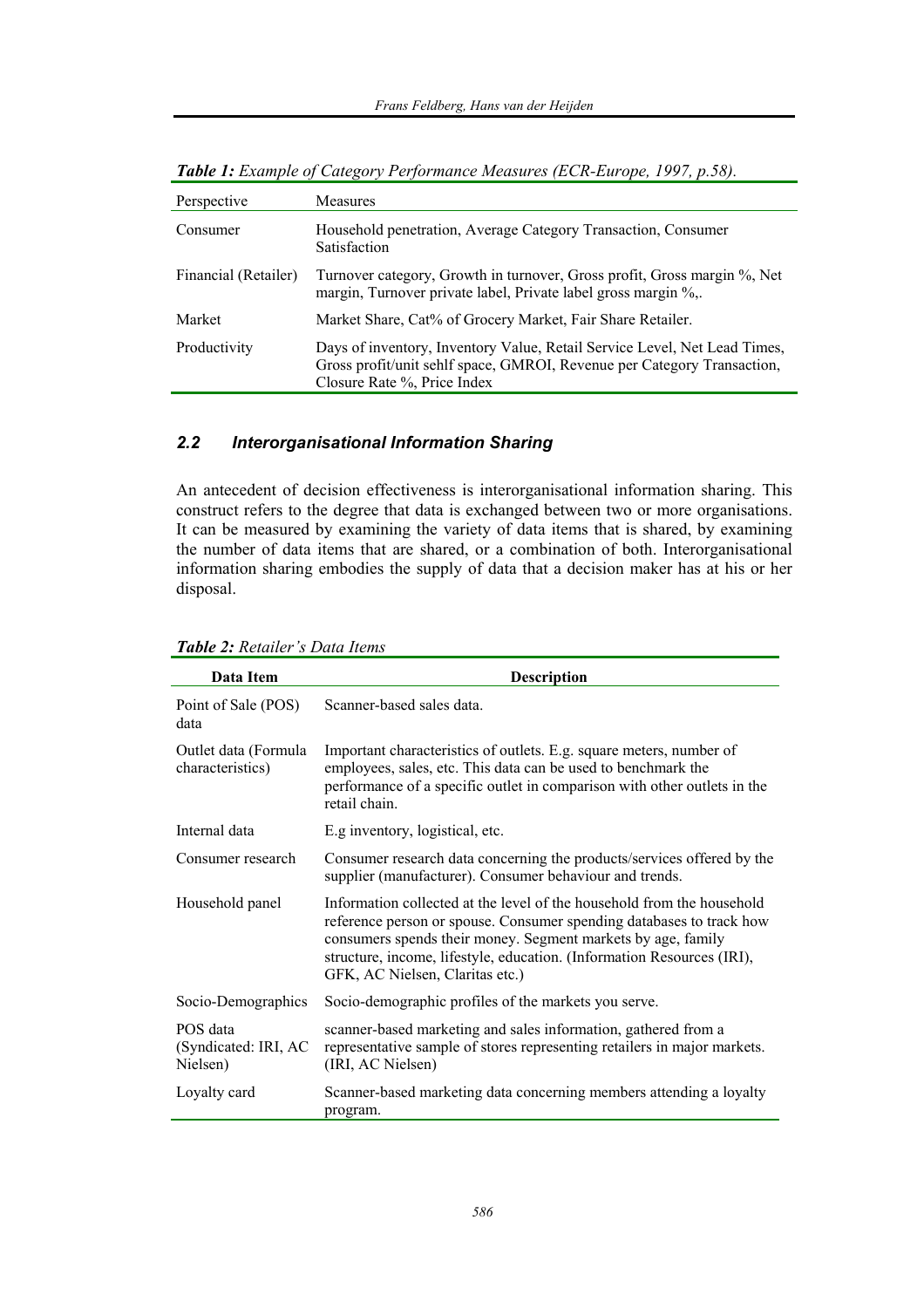| Perspective          | <b>Measures</b>                                                                                                                                                                     |
|----------------------|-------------------------------------------------------------------------------------------------------------------------------------------------------------------------------------|
| Consumer             | Household penetration, Average Category Transaction, Consumer<br>Satisfaction                                                                                                       |
| Financial (Retailer) | Turnover category, Growth in turnover, Gross profit, Gross margin %, Net<br>margin, Turnover private label, Private label gross margin %,                                           |
| Market               | Market Share, Cat% of Grocery Market, Fair Share Retailer.                                                                                                                          |
| Productivity         | Days of inventory, Inventory Value, Retail Service Level, Net Lead Times,<br>Gross profit/unit sehlf space, GMROI, Revenue per Category Transaction,<br>Closure Rate %, Price Index |

*Table 1: Example of Category Performance Measures (ECR-Europe, 1997, p.58).* 

# *2.2 Interorganisational Information Sharing*

An antecedent of decision effectiveness is interorganisational information sharing. This construct refers to the degree that data is exchanged between two or more organisations. It can be measured by examining the variety of data items that is shared, by examining the number of data items that are shared, or a combination of both. Interorganisational information sharing embodies the supply of data that a decision maker has at his or her disposal.

| Data Item                                    | <b>Description</b>                                                                                                                                                                                                                                                                                                          |  |
|----------------------------------------------|-----------------------------------------------------------------------------------------------------------------------------------------------------------------------------------------------------------------------------------------------------------------------------------------------------------------------------|--|
| Point of Sale (POS)<br>data                  | Scanner-based sales data.                                                                                                                                                                                                                                                                                                   |  |
| Outlet data (Formula<br>characteristics)     | Important characteristics of outlets. E.g. square meters, number of<br>employees, sales, etc. This data can be used to benchmark the<br>performance of a specific outlet in comparison with other outlets in the<br>retail chain.                                                                                           |  |
| Internal data                                | E.g inventory, logistical, etc.                                                                                                                                                                                                                                                                                             |  |
| Consumer research                            | Consumer research data concerning the products/services offered by the<br>supplier (manufacturer). Consumer behaviour and trends.                                                                                                                                                                                           |  |
| Household panel                              | Information collected at the level of the household from the household<br>reference person or spouse. Consumer spending databases to track how<br>consumers spends their money. Segment markets by age, family<br>structure, income, lifestyle, education. (Information Resources (IRI),<br>GFK, AC Nielsen, Claritas etc.) |  |
| Socio-Demographics                           | Socio-demographic profiles of the markets you serve.                                                                                                                                                                                                                                                                        |  |
| POS data<br>(Syndicated: IRI, AC<br>Nielsen) | scanner-based marketing and sales information, gathered from a<br>representative sample of stores representing retailers in major markets.<br>(IRI, AC Nielsen)                                                                                                                                                             |  |
| Loyalty card                                 | Scanner-based marketing data concerning members attending a loyalty<br>program.                                                                                                                                                                                                                                             |  |

*Table 2: Retailer's Data Items*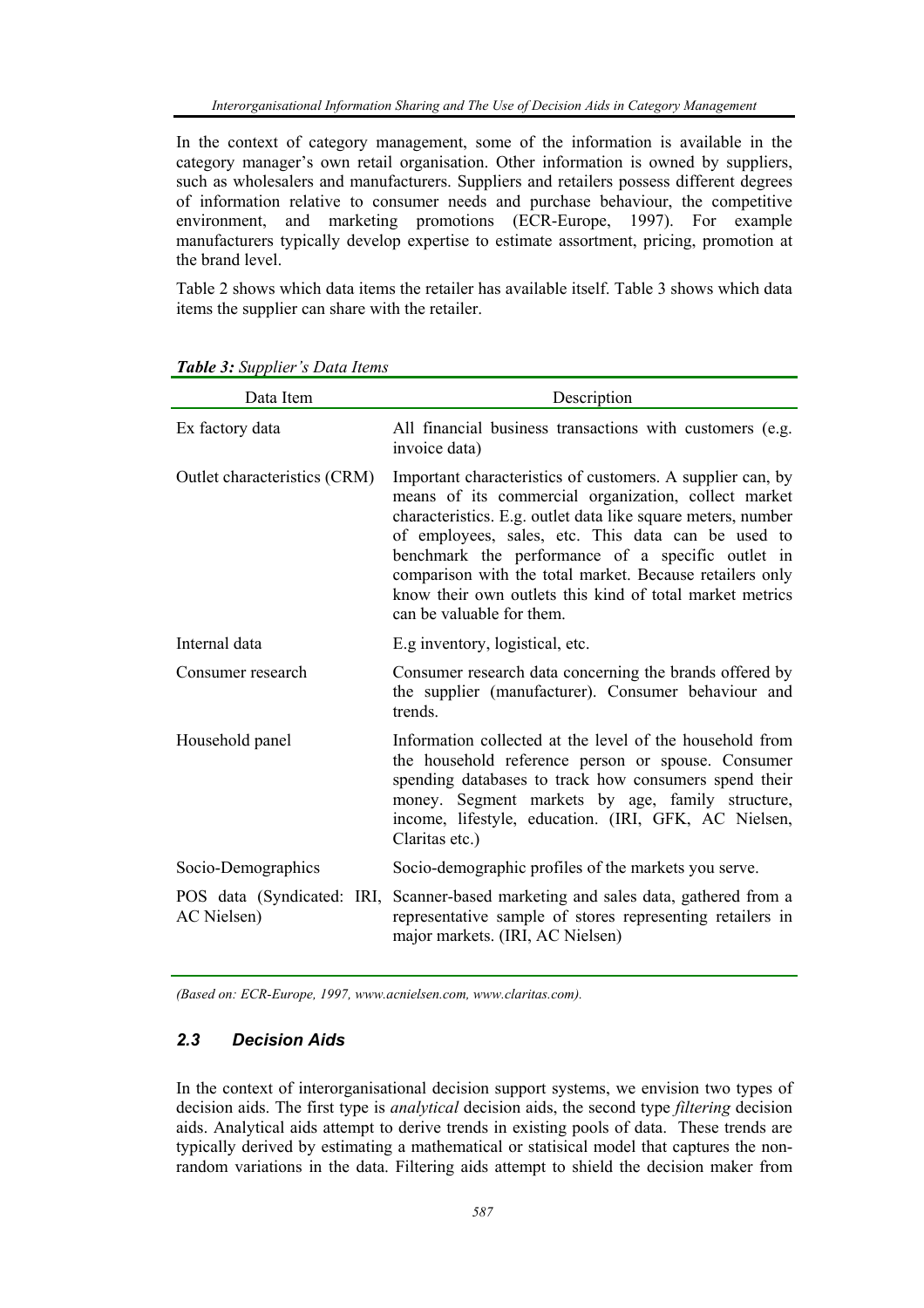In the context of category management, some of the information is available in the category manager's own retail organisation. Other information is owned by suppliers, such as wholesalers and manufacturers. Suppliers and retailers possess different degrees of information relative to consumer needs and purchase behaviour, the competitive environment, and marketing promotions (ECR-Europe, 1997). For example manufacturers typically develop expertise to estimate assortment, pricing, promotion at the brand level.

Table 2 shows which data items the retailer has available itself. Table 3 shows which data items the supplier can share with the retailer.

| Data Item                    | Description                                                                                                                                                                                                                                                                                                                                                                                                                                        |
|------------------------------|----------------------------------------------------------------------------------------------------------------------------------------------------------------------------------------------------------------------------------------------------------------------------------------------------------------------------------------------------------------------------------------------------------------------------------------------------|
| Ex factory data              | All financial business transactions with customers (e.g.<br>invoice data)                                                                                                                                                                                                                                                                                                                                                                          |
| Outlet characteristics (CRM) | Important characteristics of customers. A supplier can, by<br>means of its commercial organization, collect market<br>characteristics. E.g. outlet data like square meters, number<br>of employees, sales, etc. This data can be used to<br>benchmark the performance of a specific outlet in<br>comparison with the total market. Because retailers only<br>know their own outlets this kind of total market metrics<br>can be valuable for them. |
| Internal data                | E.g inventory, logistical, etc.                                                                                                                                                                                                                                                                                                                                                                                                                    |
| Consumer research            | Consumer research data concerning the brands offered by<br>the supplier (manufacturer). Consumer behaviour and<br>trends.                                                                                                                                                                                                                                                                                                                          |
| Household panel              | Information collected at the level of the household from<br>the household reference person or spouse. Consumer<br>spending databases to track how consumers spend their<br>money. Segment markets by age, family structure,<br>income, lifestyle, education. (IRI, GFK, AC Nielsen,<br>Claritas etc.)                                                                                                                                              |
| Socio-Demographics           | Socio-demographic profiles of the markets you serve.                                                                                                                                                                                                                                                                                                                                                                                               |
| AC Nielsen)                  | POS data (Syndicated: IRI, Scanner-based marketing and sales data, gathered from a<br>representative sample of stores representing retailers in<br>major markets. (IRI, AC Nielsen)                                                                                                                                                                                                                                                                |

*Table 3: Supplier's Data Items* 

*(Based on: ECR-Europe, 1997, www.acnielsen.com, www.claritas.com).* 

## *2.3 Decision Aids*

In the context of interorganisational decision support systems, we envision two types of decision aids. The first type is *analytical* decision aids, the second type *filtering* decision aids. Analytical aids attempt to derive trends in existing pools of data. These trends are typically derived by estimating a mathematical or statisical model that captures the nonrandom variations in the data. Filtering aids attempt to shield the decision maker from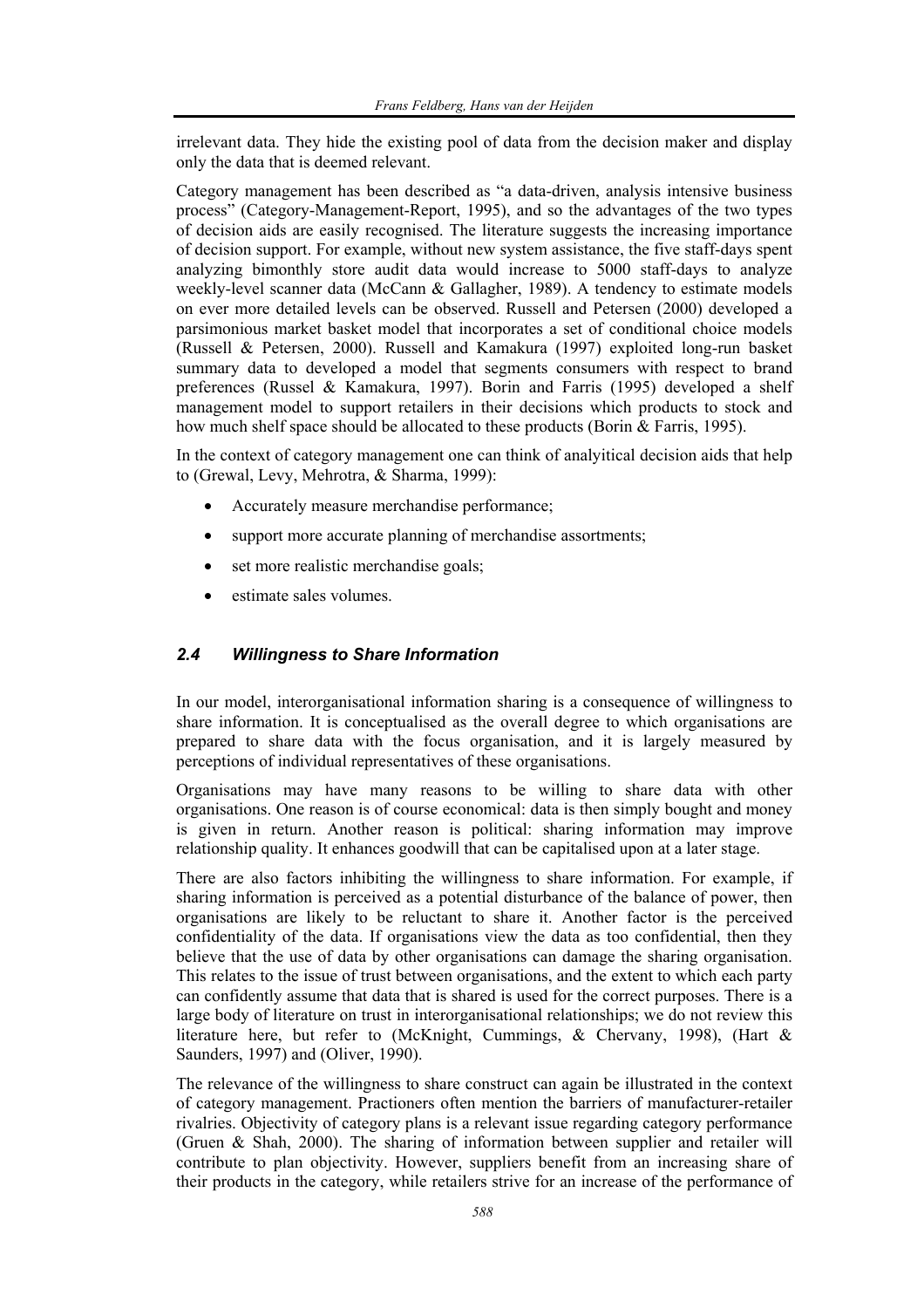irrelevant data. They hide the existing pool of data from the decision maker and display only the data that is deemed relevant.

Category management has been described as "a data-driven, analysis intensive business process" (Category-Management-Report, 1995), and so the advantages of the two types of decision aids are easily recognised. The literature suggests the increasing importance of decision support. For example, without new system assistance, the five staff-days spent analyzing bimonthly store audit data would increase to 5000 staff-days to analyze weekly-level scanner data (McCann & Gallagher, 1989). A tendency to estimate models on ever more detailed levels can be observed. Russell and Petersen (2000) developed a parsimonious market basket model that incorporates a set of conditional choice models (Russell & Petersen, 2000). Russell and Kamakura (1997) exploited long-run basket summary data to developed a model that segments consumers with respect to brand preferences (Russel & Kamakura, 1997). Borin and Farris (1995) developed a shelf management model to support retailers in their decisions which products to stock and how much shelf space should be allocated to these products (Borin & Farris, 1995).

In the context of category management one can think of analyitical decision aids that help to (Grewal, Levy, Mehrotra, & Sharma, 1999):

- Accurately measure merchandise performance;
- support more accurate planning of merchandise assortments;
- set more realistic merchandise goals;
- estimate sales volumes.

## *2.4 Willingness to Share Information*

In our model, interorganisational information sharing is a consequence of willingness to share information. It is conceptualised as the overall degree to which organisations are prepared to share data with the focus organisation, and it is largely measured by perceptions of individual representatives of these organisations.

Organisations may have many reasons to be willing to share data with other organisations. One reason is of course economical: data is then simply bought and money is given in return. Another reason is political: sharing information may improve relationship quality. It enhances goodwill that can be capitalised upon at a later stage.

There are also factors inhibiting the willingness to share information. For example, if sharing information is perceived as a potential disturbance of the balance of power, then organisations are likely to be reluctant to share it. Another factor is the perceived confidentiality of the data. If organisations view the data as too confidential, then they believe that the use of data by other organisations can damage the sharing organisation. This relates to the issue of trust between organisations, and the extent to which each party can confidently assume that data that is shared is used for the correct purposes. There is a large body of literature on trust in interorganisational relationships; we do not review this literature here, but refer to (McKnight, Cummings, & Chervany, 1998), (Hart & Saunders, 1997) and (Oliver, 1990).

The relevance of the willingness to share construct can again be illustrated in the context of category management. Practioners often mention the barriers of manufacturer-retailer rivalries. Objectivity of category plans is a relevant issue regarding category performance (Gruen & Shah, 2000). The sharing of information between supplier and retailer will contribute to plan objectivity. However, suppliers benefit from an increasing share of their products in the category, while retailers strive for an increase of the performance of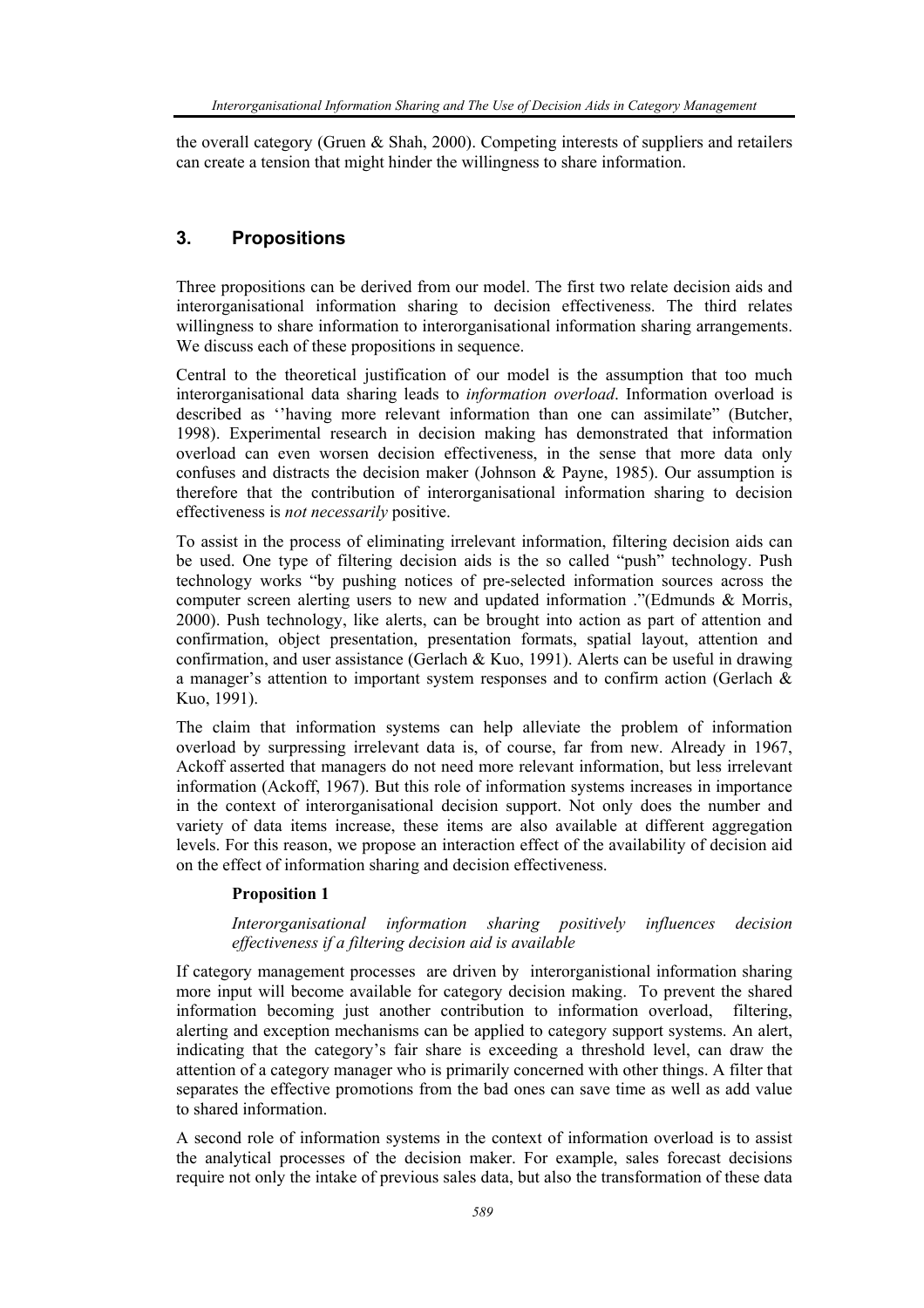the overall category (Gruen & Shah, 2000). Competing interests of suppliers and retailers can create a tension that might hinder the willingness to share information.

# **3. Propositions**

Three propositions can be derived from our model. The first two relate decision aids and interorganisational information sharing to decision effectiveness. The third relates willingness to share information to interorganisational information sharing arrangements. We discuss each of these propositions in sequence.

Central to the theoretical justification of our model is the assumption that too much interorganisational data sharing leads to *information overload*. Information overload is described as ''having more relevant information than one can assimilate" (Butcher, 1998). Experimental research in decision making has demonstrated that information overload can even worsen decision effectiveness, in the sense that more data only confuses and distracts the decision maker (Johnson & Payne, 1985). Our assumption is therefore that the contribution of interorganisational information sharing to decision effectiveness is *not necessarily* positive.

To assist in the process of eliminating irrelevant information, filtering decision aids can be used. One type of filtering decision aids is the so called "push" technology. Push technology works "by pushing notices of pre-selected information sources across the computer screen alerting users to new and updated information ."(Edmunds & Morris, 2000). Push technology, like alerts, can be brought into action as part of attention and confirmation, object presentation, presentation formats, spatial layout, attention and confirmation, and user assistance (Gerlach & Kuo, 1991). Alerts can be useful in drawing a manager's attention to important system responses and to confirm action (Gerlach & Kuo, 1991).

The claim that information systems can help alleviate the problem of information overload by surpressing irrelevant data is, of course, far from new. Already in 1967, Ackoff asserted that managers do not need more relevant information, but less irrelevant information (Ackoff, 1967). But this role of information systems increases in importance in the context of interorganisational decision support. Not only does the number and variety of data items increase, these items are also available at different aggregation levels. For this reason, we propose an interaction effect of the availability of decision aid on the effect of information sharing and decision effectiveness.

#### **Proposition 1**

### *Interorganisational information sharing positively influences decision effectiveness if a filtering decision aid is available*

If category management processes are driven by interorganistional information sharing more input will become available for category decision making. To prevent the shared information becoming just another contribution to information overload, filtering, alerting and exception mechanisms can be applied to category support systems. An alert, indicating that the category's fair share is exceeding a threshold level, can draw the attention of a category manager who is primarily concerned with other things. A filter that separates the effective promotions from the bad ones can save time as well as add value to shared information.

A second role of information systems in the context of information overload is to assist the analytical processes of the decision maker. For example, sales forecast decisions require not only the intake of previous sales data, but also the transformation of these data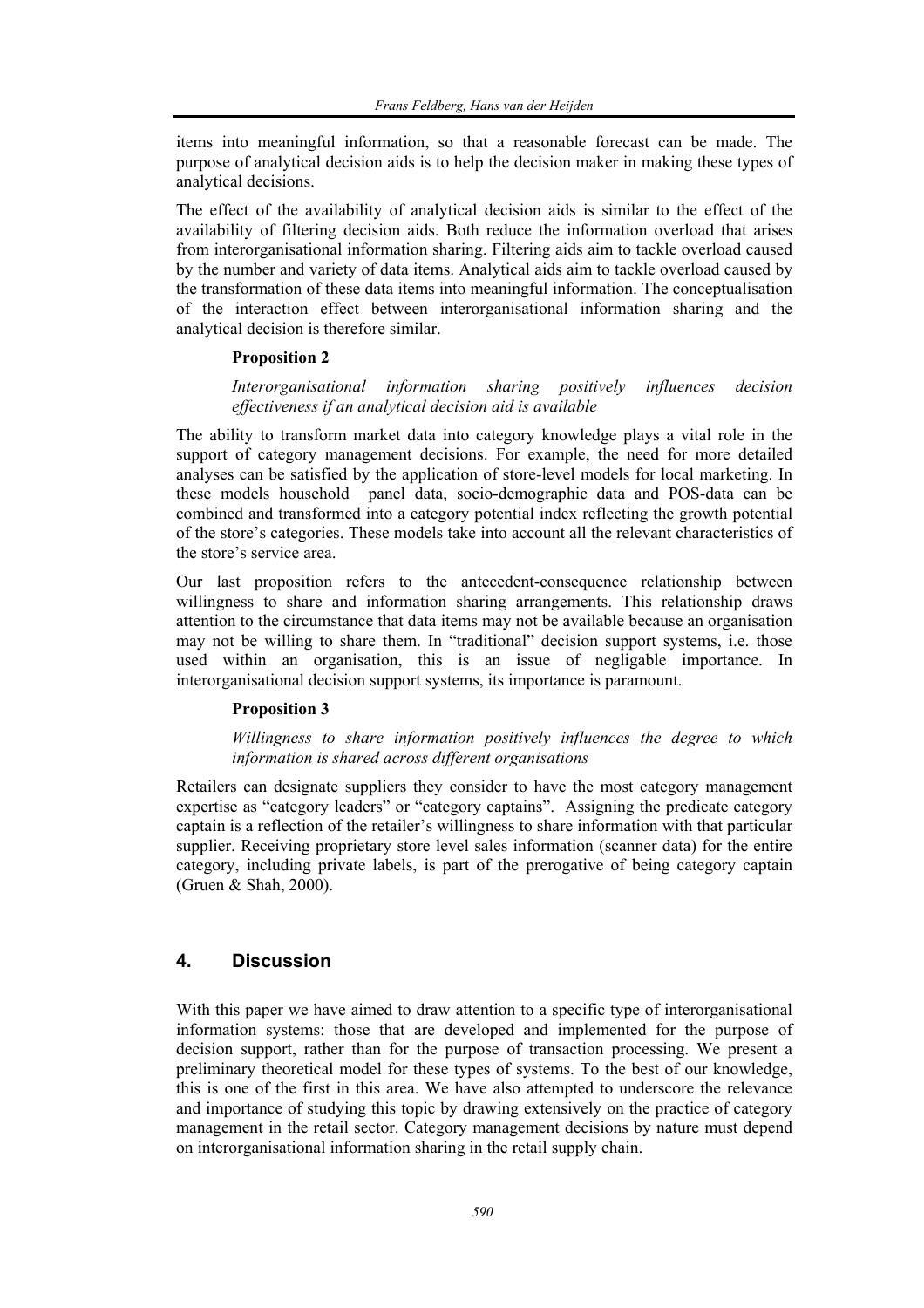items into meaningful information, so that a reasonable forecast can be made. The purpose of analytical decision aids is to help the decision maker in making these types of analytical decisions.

The effect of the availability of analytical decision aids is similar to the effect of the availability of filtering decision aids. Both reduce the information overload that arises from interorganisational information sharing. Filtering aids aim to tackle overload caused by the number and variety of data items. Analytical aids aim to tackle overload caused by the transformation of these data items into meaningful information. The conceptualisation of the interaction effect between interorganisational information sharing and the analytical decision is therefore similar.

#### **Proposition 2**

#### *Interorganisational information sharing positively influences decision effectiveness if an analytical decision aid is available*

The ability to transform market data into category knowledge plays a vital role in the support of category management decisions. For example, the need for more detailed analyses can be satisfied by the application of store-level models for local marketing. In these models household panel data, socio-demographic data and POS-data can be combined and transformed into a category potential index reflecting the growth potential of the store's categories. These models take into account all the relevant characteristics of the store's service area.

Our last proposition refers to the antecedent-consequence relationship between willingness to share and information sharing arrangements. This relationship draws attention to the circumstance that data items may not be available because an organisation may not be willing to share them. In "traditional" decision support systems, i.e. those used within an organisation, this is an issue of negligable importance. In interorganisational decision support systems, its importance is paramount.

#### **Proposition 3**

#### *Willingness to share information positively influences the degree to which information is shared across different organisations*

Retailers can designate suppliers they consider to have the most category management expertise as "category leaders" or "category captains". Assigning the predicate category captain is a reflection of the retailer's willingness to share information with that particular supplier. Receiving proprietary store level sales information (scanner data) for the entire category, including private labels, is part of the prerogative of being category captain (Gruen & Shah, 2000).

# **4. Discussion**

With this paper we have aimed to draw attention to a specific type of interorganisational information systems: those that are developed and implemented for the purpose of decision support, rather than for the purpose of transaction processing. We present a preliminary theoretical model for these types of systems. To the best of our knowledge, this is one of the first in this area. We have also attempted to underscore the relevance and importance of studying this topic by drawing extensively on the practice of category management in the retail sector. Category management decisions by nature must depend on interorganisational information sharing in the retail supply chain.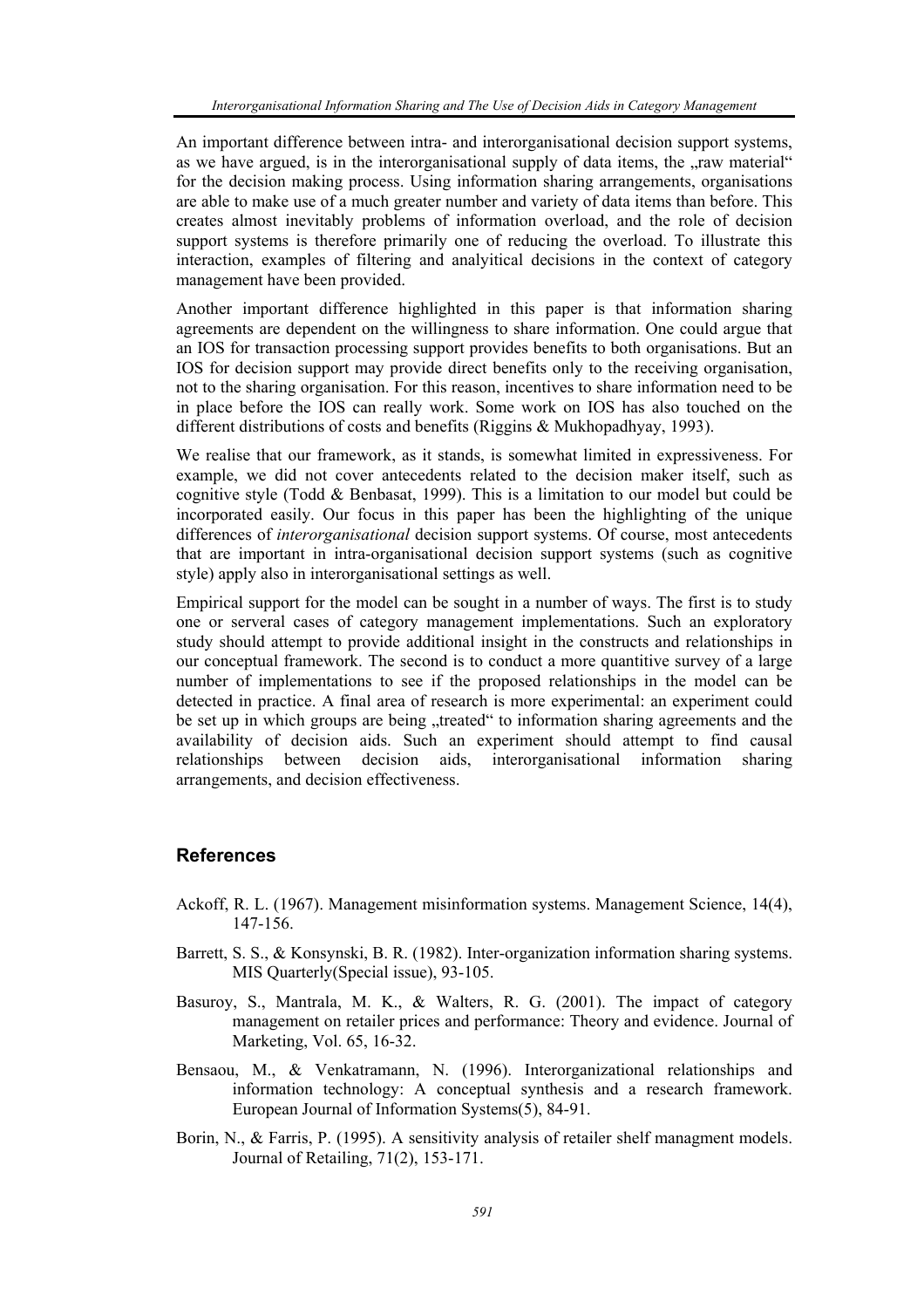An important difference between intra- and interorganisational decision support systems, as we have argued, is in the interorganisational supply of data items, the "raw material" for the decision making process. Using information sharing arrangements, organisations are able to make use of a much greater number and variety of data items than before. This creates almost inevitably problems of information overload, and the role of decision support systems is therefore primarily one of reducing the overload. To illustrate this interaction, examples of filtering and analyitical decisions in the context of category management have been provided.

Another important difference highlighted in this paper is that information sharing agreements are dependent on the willingness to share information. One could argue that an IOS for transaction processing support provides benefits to both organisations. But an IOS for decision support may provide direct benefits only to the receiving organisation, not to the sharing organisation. For this reason, incentives to share information need to be in place before the IOS can really work. Some work on IOS has also touched on the different distributions of costs and benefits (Riggins & Mukhopadhyay, 1993).

We realise that our framework, as it stands, is somewhat limited in expressiveness. For example, we did not cover antecedents related to the decision maker itself, such as cognitive style (Todd & Benbasat, 1999). This is a limitation to our model but could be incorporated easily. Our focus in this paper has been the highlighting of the unique differences of *interorganisational* decision support systems. Of course, most antecedents that are important in intra-organisational decision support systems (such as cognitive style) apply also in interorganisational settings as well.

Empirical support for the model can be sought in a number of ways. The first is to study one or serveral cases of category management implementations. Such an exploratory study should attempt to provide additional insight in the constructs and relationships in our conceptual framework. The second is to conduct a more quantitive survey of a large number of implementations to see if the proposed relationships in the model can be detected in practice. A final area of research is more experimental: an experiment could be set up in which groups are being "treated" to information sharing agreements and the availability of decision aids. Such an experiment should attempt to find causal relationships between decision aids, interorganisational information sharing arrangements, and decision effectiveness.

## **References**

- Ackoff, R. L. (1967). Management misinformation systems. Management Science, 14(4), 147-156.
- Barrett, S. S., & Konsynski, B. R. (1982). Inter-organization information sharing systems. MIS Quarterly(Special issue), 93-105.
- Basuroy, S., Mantrala, M. K., & Walters, R. G. (2001). The impact of category management on retailer prices and performance: Theory and evidence. Journal of Marketing, Vol. 65, 16-32.
- Bensaou, M., & Venkatramann, N. (1996). Interorganizational relationships and information technology: A conceptual synthesis and a research framework. European Journal of Information Systems(5), 84-91.
- Borin, N., & Farris, P. (1995). A sensitivity analysis of retailer shelf managment models. Journal of Retailing, 71(2), 153-171.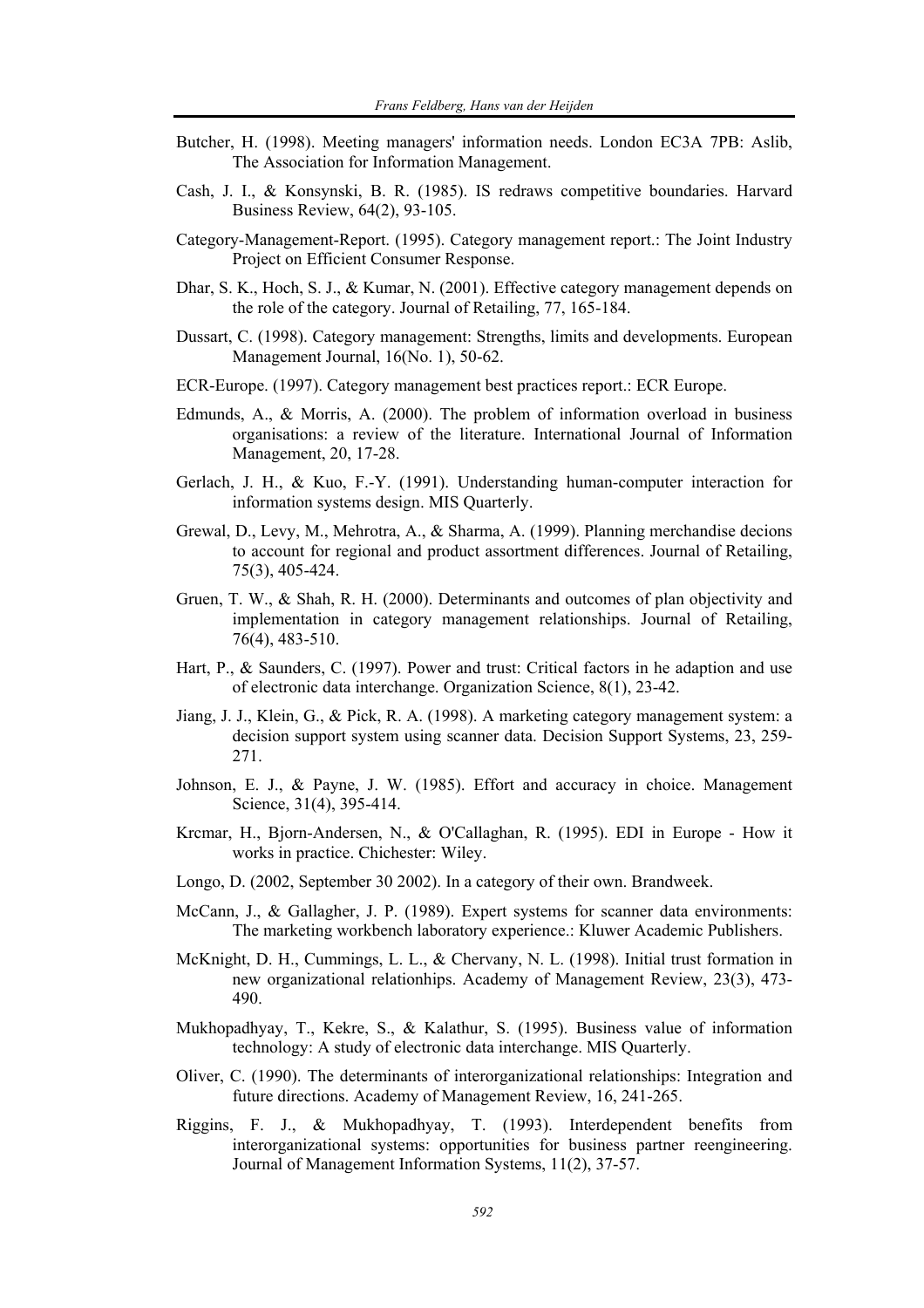- Butcher, H. (1998). Meeting managers' information needs. London EC3A 7PB: Aslib, The Association for Information Management.
- Cash, J. I., & Konsynski, B. R. (1985). IS redraws competitive boundaries. Harvard Business Review, 64(2), 93-105.
- Category-Management-Report. (1995). Category management report.: The Joint Industry Project on Efficient Consumer Response.
- Dhar, S. K., Hoch, S. J., & Kumar, N. (2001). Effective category management depends on the role of the category. Journal of Retailing, 77, 165-184.
- Dussart, C. (1998). Category management: Strengths, limits and developments. European Management Journal, 16(No. 1), 50-62.
- ECR-Europe. (1997). Category management best practices report.: ECR Europe.
- Edmunds, A., & Morris, A. (2000). The problem of information overload in business organisations: a review of the literature. International Journal of Information Management, 20, 17-28.
- Gerlach, J. H., & Kuo, F.-Y. (1991). Understanding human-computer interaction for information systems design. MIS Quarterly.
- Grewal, D., Levy, M., Mehrotra, A., & Sharma, A. (1999). Planning merchandise decions to account for regional and product assortment differences. Journal of Retailing, 75(3), 405-424.
- Gruen, T. W., & Shah, R. H. (2000). Determinants and outcomes of plan objectivity and implementation in category management relationships. Journal of Retailing, 76(4), 483-510.
- Hart, P., & Saunders, C. (1997). Power and trust: Critical factors in he adaption and use of electronic data interchange. Organization Science, 8(1), 23-42.
- Jiang, J. J., Klein, G., & Pick, R. A. (1998). A marketing category management system: a decision support system using scanner data. Decision Support Systems, 23, 259- 271.
- Johnson, E. J., & Payne, J. W. (1985). Effort and accuracy in choice. Management Science, 31(4), 395-414.
- Krcmar, H., Bjorn-Andersen, N., & O'Callaghan, R. (1995). EDI in Europe How it works in practice. Chichester: Wiley.
- Longo, D. (2002, September 30 2002). In a category of their own. Brandweek.
- McCann, J., & Gallagher, J. P. (1989). Expert systems for scanner data environments: The marketing workbench laboratory experience.: Kluwer Academic Publishers.
- McKnight, D. H., Cummings, L. L., & Chervany, N. L. (1998). Initial trust formation in new organizational relationhips. Academy of Management Review, 23(3), 473- 490.
- Mukhopadhyay, T., Kekre, S., & Kalathur, S. (1995). Business value of information technology: A study of electronic data interchange. MIS Quarterly.
- Oliver, C. (1990). The determinants of interorganizational relationships: Integration and future directions. Academy of Management Review, 16, 241-265.
- Riggins, F. J., & Mukhopadhyay, T. (1993). Interdependent benefits from interorganizational systems: opportunities for business partner reengineering. Journal of Management Information Systems, 11(2), 37-57.